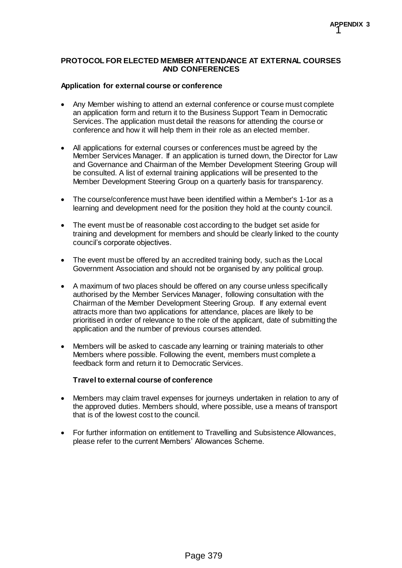### **PROTOCOL FOR ELECTED MEMBER ATTENDANCE AT EXTERNAL COURSES AND CONFERENCES**

### **Application for external course or conference**

- Any Member wishing to attend an external conference or course must complete an application form and return it to the Business Support Team in Democratic Services. The application must detail the reasons for attending the course or conference and how it will help them in their role as an elected member.
- All applications for external courses or conferences must be agreed by the Member Services Manager. If an application is turned down, the Director for Law and Governance and Chairman of the Member Development Steering Group will be consulted. A list of external training applications will be presented to the Member Development Steering Group on a quarterly basis for transparency.
- The course/conference must have been identified within a Member's 1-1or as a learning and development need for the position they hold at the county council.
- The event must be of reasonable cost according to the budget set aside for training and development for members and should be clearly linked to the county council's corporate objectives.
- The event must be offered by an accredited training body, such as the Local Government Association and should not be organised by any political group.
- A maximum of two places should be offered on any course unless specifically authorised by the Member Services Manager, following consultation with the Chairman of the Member Development Steering Group. If any external event attracts more than two applications for attendance, places are likely to be prioritised in order of relevance to the role of the applicant, date of submitting the application and the number of previous courses attended.
- Members will be asked to cascade any learning or training materials to other Members where possible. Following the event, members must complete a feedback form and return it to Democratic Services.

### **Travel to external course of conference**

- Members may claim travel expenses for journeys undertaken in relation to any of the approved duties. Members should, where possible, use a means of transport that is of the lowest cost to the council.
- For further information on entitlement to Travelling and Subsistence Allowances, please refer to the current Members' Allowances Scheme.